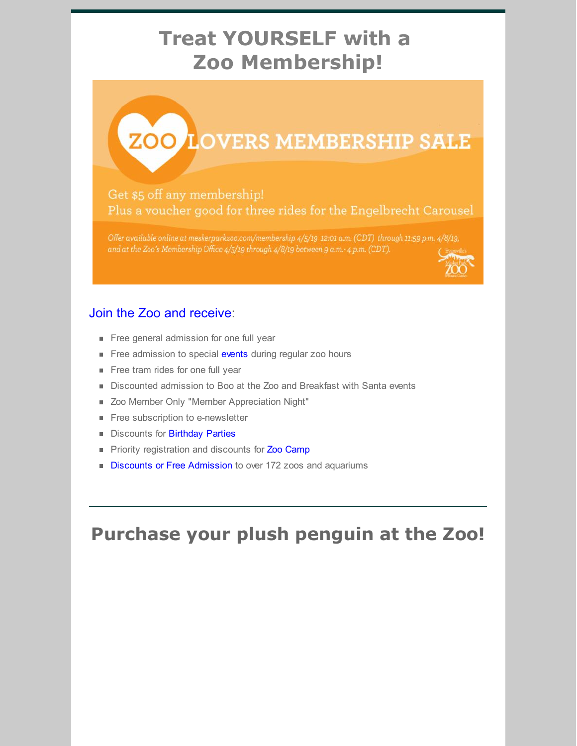## **Treat YOURSELF with a Zoo Membership!**

# **ZOO LOVERS MEMBERSHIP SALE**

#### Get \$5 off any membership! Plus a voucher good for three rides for the Engelbrecht Carousel

Offer available online at meskerparkzoo.com/membership 4/5/19 12:01 a.m. (CDT) through 11:59 p.m. 4/8/19, and at the Zoo's Membership Office 4/5/19 through 4/8/19 between 9 a.m.- 4 p.m. (CDT).

#### Join the Zoo and [receive](https://www.meskerparkzoo.com/membership/):

- Free general admission for one full year
- Free admission to special [events](https://www.meskerparkzoo.com/plan-your-visit/events/) during regular zoo hours
- Free tram rides for one full year
- Discounted admission to Boo at the Zoo and Breakfast with Santa events
- **Zoo Member Only "Member Appreciation Night"**
- Free subscription to e-newsletter
- Discounts for [Birthday](https://www.meskerparkzoo.com/rentals/birthday-parties/) Parties
- Priority registration and discounts for Zoo [Camp](https://www.meskerparkzoo.com/camp/)
- Discounts or Free [Admission](https://www.meskerparkzoo.com/travelpass/) to over 172 zoos and aquariums

### **Purchase your plush penguin at the Zoo!**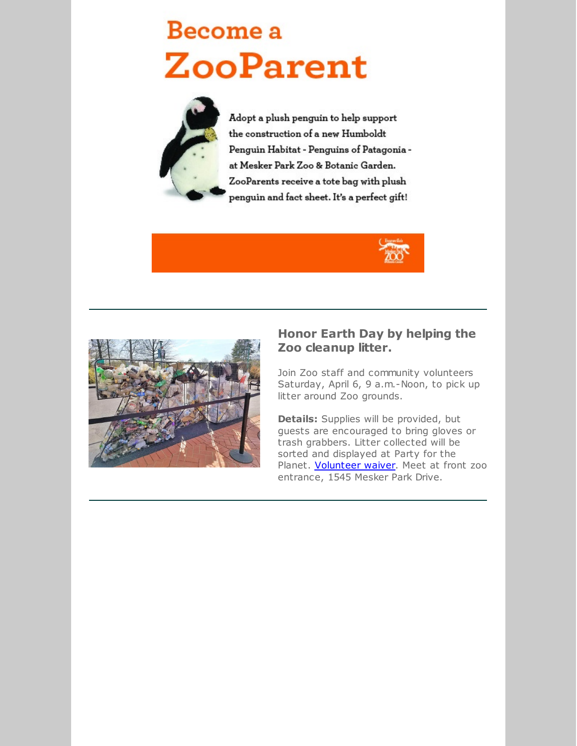## Become a **ZooParent**



Adopt a plush penguin to help support the construction of a new Humboldt Penguin Habitat - Penguins of Patagonia at Mesker Park Zoo & Botanic Garden. ZooParents receive a tote bag with plush penguin and fact sheet. It's a perfect gift!





#### **Honor Earth Day by helping the Zoo cleanup litter.**

Join Zoo staff and community volunteers Saturday, April 6, 9 a.m.-Noon, to pick up litter around Zoo grounds.

**Details:** Supplies will be provided, but guests are encouraged to bring gloves or trash grabbers. Litter collected will be sorted and displayed at Party for the Planet. [Volunteer](https://files.constantcontact.com/122c30b3101/3e91734d-b816-4473-8f50-2f854074ee96.doc) waiver. Meet at front zoo entrance, 1545 Mesker Park Drive.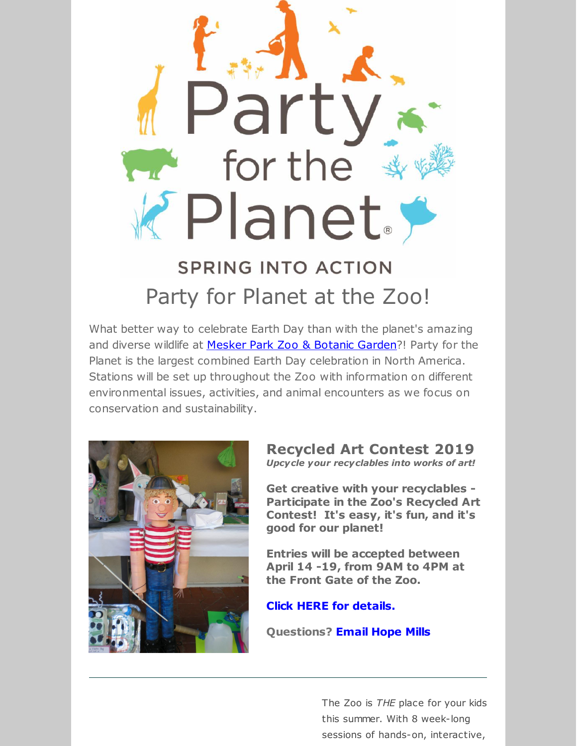

What better way to celebrate Earth Day than with the planet's amazing and diverse wildlife at Mesker Park Zoo & [Botanic](https://www.meskerparkzoo.com/) Garden?! Party for the Planet is the largest combined Earth Day celebration in North America. Stations will be set up throughout the Zoo with information on different environmental issues, activities, and animal encounters as we focus on conservation and sustainability.



#### **Recycled Art Contest 2019** *Upcycle your recyclables into works of art!*

**Get creative with your recyclables - Participate in the Zoo's Recycled Art Contest! It's easy, it's fun, and it's good for our planet!**

**Entries will be accepted between April 14 -19, from 9AM to 4PM at the Front Gate of the Zoo.**

**Click HERE for [details.](https://files.constantcontact.com/122c30b3101/ad3cd847-27f3-452e-9df2-e827ffe68625.pdf)**

**Questions? [Email](mailto:hmills@meskerparkzoo.com) Hope Mills**

The Zoo is *THE* place for your kids this summer. With 8 week-long sessions of hands-on, interactive,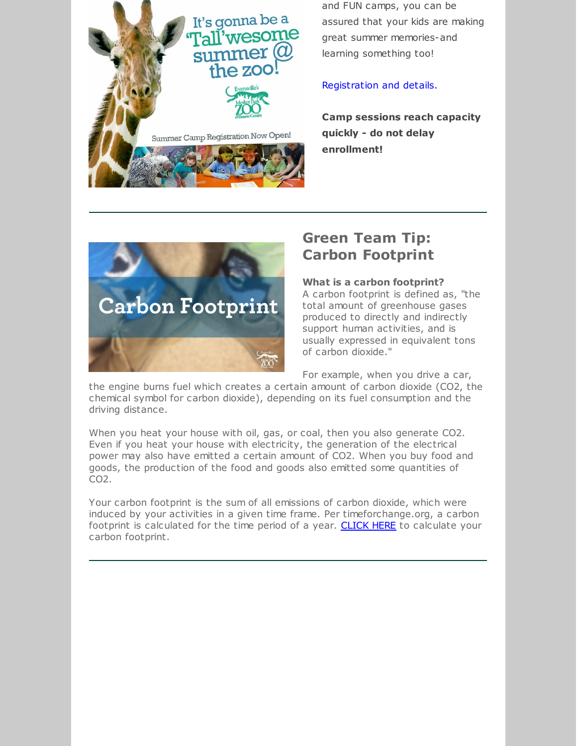It's gonna be a Tall'wesome summer  $@$ the zoo Summer Camp Registration Now Open!

and FUN camps, you can be assured that your kids are making great summer memories-and learning something too!

#### [Registration](https://www.meskerparkzoo.com/camp/) and details.

**Camp sessions reach capacity quickly - do not delay enrollment!**



#### **Green Team Tip: Carbon Footprint**

of carbon dioxide."

**What is a carbon footprint?** A carbon footprint is defined as, "the total amount of greenhouse gases produced to directly and indirectly support human activities, and is usually expressed in equivalent tons

For example, when you drive a car,

the engine burns fuel which creates a certain amount of carbon dioxide (CO2, the chemical symbol for carbon dioxide), depending on its fuel consumption and the driving distance.

When you heat your house with oil, gas, or coal, then you also generate CO2. Even if you heat your house with electricity, the generation of the electrical power may also have emitted a certain amount of CO2. When you buy food and goods, the production of the food and goods also emitted some quantities of CO2.

Your carbon footprint is the sum of all emissions of carbon dioxide, which were induced by your activities in a given time frame. Per timeforchange.org, a carbon footprint is calculated for the time period of a year. [CLICK](https://www.carbonfootprint.com/calculator.aspx) HERE to calculate your carbon footprint.